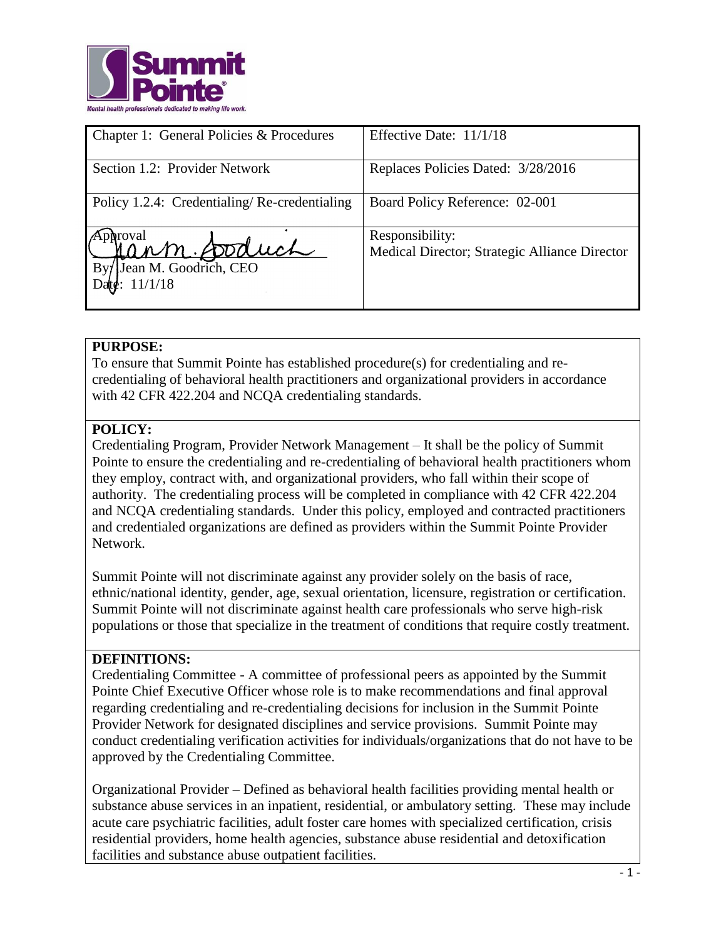

| Chapter 1: General Policies & Procedures      | Effective Date: 11/1/18                                          |
|-----------------------------------------------|------------------------------------------------------------------|
| Section 1.2: Provider Network                 | Replaces Policies Dated: 3/28/2016                               |
| Policy 1.2.4: Credentialing/Re-credentialing  | Board Policy Reference: 02-001                                   |
| vroval<br>Joran M. Cooduch<br>Date: $11/1/18$ | Responsibility:<br>Medical Director; Strategic Alliance Director |

## **PURPOSE:**

To ensure that Summit Pointe has established procedure(s) for credentialing and recredentialing of behavioral health practitioners and organizational providers in accordance with 42 CFR 422.204 and NCQA credentialing standards.

# **POLICY:**

Credentialing Program, Provider Network Management – It shall be the policy of Summit Pointe to ensure the credentialing and re-credentialing of behavioral health practitioners whom they employ, contract with, and organizational providers, who fall within their scope of authority. The credentialing process will be completed in compliance with 42 CFR 422.204 and NCQA credentialing standards. Under this policy, employed and contracted practitioners and credentialed organizations are defined as providers within the Summit Pointe Provider Network.

Summit Pointe will not discriminate against any provider solely on the basis of race, ethnic/national identity, gender, age, sexual orientation, licensure, registration or certification. Summit Pointe will not discriminate against health care professionals who serve high-risk populations or those that specialize in the treatment of conditions that require costly treatment.

### **DEFINITIONS:**

Credentialing Committee - A committee of professional peers as appointed by the Summit Pointe Chief Executive Officer whose role is to make recommendations and final approval regarding credentialing and re-credentialing decisions for inclusion in the Summit Pointe Provider Network for designated disciplines and service provisions. Summit Pointe may conduct credentialing verification activities for individuals/organizations that do not have to be approved by the Credentialing Committee.

Organizational Provider – Defined as behavioral health facilities providing mental health or substance abuse services in an inpatient, residential, or ambulatory setting. These may include acute care psychiatric facilities, adult foster care homes with specialized certification, crisis residential providers, home health agencies, substance abuse residential and detoxification facilities and substance abuse outpatient facilities.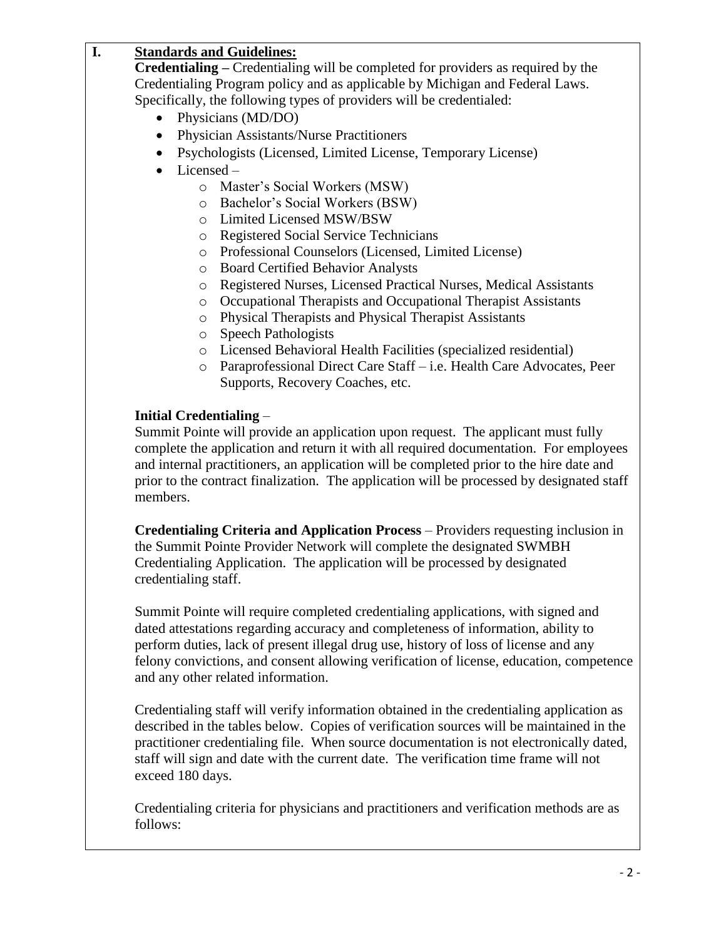# **I. Standards and Guidelines:**

**Credentialing –** Credentialing will be completed for providers as required by the Credentialing Program policy and as applicable by Michigan and Federal Laws. Specifically, the following types of providers will be credentialed:

- Physicians (MD/DO)
- Physician Assistants/Nurse Practitioners
- Psychologists (Licensed, Limited License, Temporary License)
- Licensed
	- o Master's Social Workers (MSW)
	- o Bachelor's Social Workers (BSW)
	- o Limited Licensed MSW/BSW
	- o Registered Social Service Technicians
	- o Professional Counselors (Licensed, Limited License)
	- o Board Certified Behavior Analysts
	- o Registered Nurses, Licensed Practical Nurses, Medical Assistants
	- o Occupational Therapists and Occupational Therapist Assistants
	- o Physical Therapists and Physical Therapist Assistants
	- o Speech Pathologists
	- o Licensed Behavioral Health Facilities (specialized residential)
	- o Paraprofessional Direct Care Staff i.e. Health Care Advocates, Peer Supports, Recovery Coaches, etc.

#### **Initial Credentialing** –

Summit Pointe will provide an application upon request. The applicant must fully complete the application and return it with all required documentation. For employees and internal practitioners, an application will be completed prior to the hire date and prior to the contract finalization. The application will be processed by designated staff members.

**Credentialing Criteria and Application Process** – Providers requesting inclusion in the Summit Pointe Provider Network will complete the designated SWMBH Credentialing Application. The application will be processed by designated credentialing staff.

Summit Pointe will require completed credentialing applications, with signed and dated attestations regarding accuracy and completeness of information, ability to perform duties, lack of present illegal drug use, history of loss of license and any felony convictions, and consent allowing verification of license, education, competence and any other related information.

Credentialing staff will verify information obtained in the credentialing application as described in the tables below. Copies of verification sources will be maintained in the practitioner credentialing file. When source documentation is not electronically dated, staff will sign and date with the current date. The verification time frame will not exceed 180 days.

Credentialing criteria for physicians and practitioners and verification methods are as follows: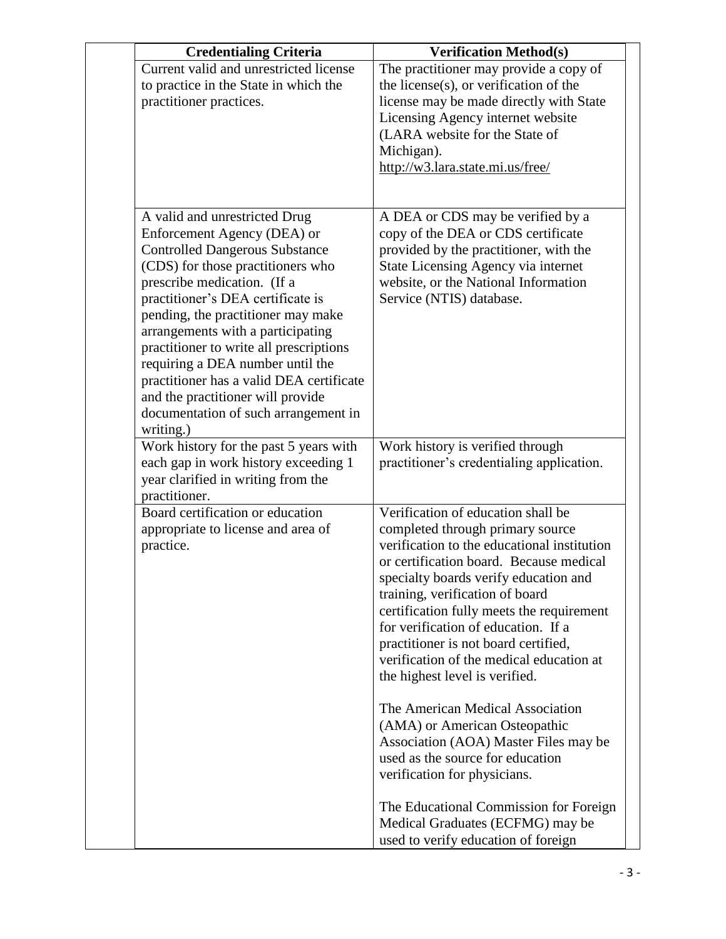| <b>Credentialing Criteria</b>                     | <b>Verification Method(s)</b>                                                                                                                     |  |
|---------------------------------------------------|---------------------------------------------------------------------------------------------------------------------------------------------------|--|
| Current valid and unrestricted license            | The practitioner may provide a copy of                                                                                                            |  |
| to practice in the State in which the             | the license(s), or verification of the                                                                                                            |  |
| practitioner practices.                           | license may be made directly with State                                                                                                           |  |
|                                                   | Licensing Agency internet website                                                                                                                 |  |
|                                                   | (LARA website for the State of                                                                                                                    |  |
|                                                   | Michigan).                                                                                                                                        |  |
|                                                   | http://w3.lara.state.mi.us/free/                                                                                                                  |  |
|                                                   |                                                                                                                                                   |  |
|                                                   |                                                                                                                                                   |  |
| A valid and unrestricted Drug                     | A DEA or CDS may be verified by a                                                                                                                 |  |
| Enforcement Agency (DEA) or                       | copy of the DEA or CDS certificate                                                                                                                |  |
| <b>Controlled Dangerous Substance</b>             | provided by the practitioner, with the                                                                                                            |  |
| (CDS) for those practitioners who                 | State Licensing Agency via internet                                                                                                               |  |
| prescribe medication. (If a                       | website, or the National Information                                                                                                              |  |
| practitioner's DEA certificate is                 | Service (NTIS) database.                                                                                                                          |  |
| pending, the practitioner may make                |                                                                                                                                                   |  |
| arrangements with a participating                 |                                                                                                                                                   |  |
| practitioner to write all prescriptions           |                                                                                                                                                   |  |
| requiring a DEA number until the                  |                                                                                                                                                   |  |
| practitioner has a valid DEA certificate          |                                                                                                                                                   |  |
| and the practitioner will provide                 |                                                                                                                                                   |  |
| documentation of such arrangement in<br>writing.) |                                                                                                                                                   |  |
| Work history for the past 5 years with            | Work history is verified through                                                                                                                  |  |
| each gap in work history exceeding 1              | practitioner's credentialing application.                                                                                                         |  |
| year clarified in writing from the                |                                                                                                                                                   |  |
| practitioner.                                     |                                                                                                                                                   |  |
| Board certification or education                  | Verification of education shall be                                                                                                                |  |
| appropriate to license and area of                | completed through primary source                                                                                                                  |  |
| practice.                                         | verification to the educational institution                                                                                                       |  |
|                                                   | or certification board. Because medical                                                                                                           |  |
|                                                   | specialty boards verify education and                                                                                                             |  |
|                                                   | training, verification of board                                                                                                                   |  |
|                                                   | certification fully meets the requirement                                                                                                         |  |
|                                                   | for verification of education. If a                                                                                                               |  |
|                                                   | practitioner is not board certified,                                                                                                              |  |
|                                                   | verification of the medical education at                                                                                                          |  |
|                                                   | the highest level is verified.                                                                                                                    |  |
|                                                   |                                                                                                                                                   |  |
|                                                   | The American Medical Association                                                                                                                  |  |
|                                                   | (AMA) or American Osteopathic                                                                                                                     |  |
|                                                   | Association (AOA) Master Files may be<br>used as the source for education                                                                         |  |
|                                                   |                                                                                                                                                   |  |
|                                                   |                                                                                                                                                   |  |
|                                                   |                                                                                                                                                   |  |
|                                                   |                                                                                                                                                   |  |
|                                                   |                                                                                                                                                   |  |
|                                                   | verification for physicians.<br>The Educational Commission for Foreign<br>Medical Graduates (ECFMG) may be<br>used to verify education of foreign |  |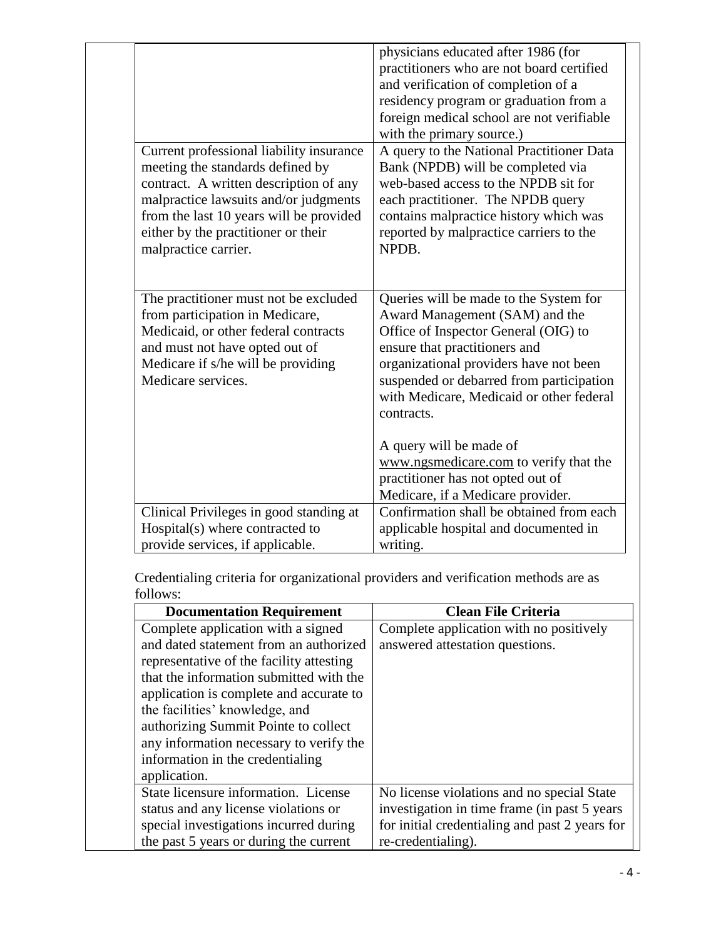| Current professional liability insurance<br>meeting the standards defined by                                                                                                                                   | physicians educated after 1986 (for<br>practitioners who are not board certified<br>and verification of completion of a<br>residency program or graduation from a<br>foreign medical school are not verifiable<br>with the primary source.)<br>A query to the National Practitioner Data<br>Bank (NPDB) will be completed via |
|----------------------------------------------------------------------------------------------------------------------------------------------------------------------------------------------------------------|-------------------------------------------------------------------------------------------------------------------------------------------------------------------------------------------------------------------------------------------------------------------------------------------------------------------------------|
| contract. A written description of any<br>malpractice lawsuits and/or judgments<br>from the last 10 years will be provided<br>either by the practitioner or their<br>malpractice carrier.                      | web-based access to the NPDB sit for<br>each practitioner. The NPDB query<br>contains malpractice history which was<br>reported by malpractice carriers to the<br>NPDB.                                                                                                                                                       |
| The practitioner must not be excluded<br>from participation in Medicare,<br>Medicaid, or other federal contracts<br>and must not have opted out of<br>Medicare if s/he will be providing<br>Medicare services. | Queries will be made to the System for<br>Award Management (SAM) and the<br>Office of Inspector General (OIG) to<br>ensure that practitioners and<br>organizational providers have not been<br>suspended or debarred from participation<br>with Medicare, Medicaid or other federal<br>contracts.                             |
|                                                                                                                                                                                                                | A query will be made of<br>www.ngsmedicare.com to verify that the<br>practitioner has not opted out of<br>Medicare, if a Medicare provider.                                                                                                                                                                                   |
| Clinical Privileges in good standing at<br>Hospital(s) where contracted to<br>provide services, if applicable.                                                                                                 | Confirmation shall be obtained from each<br>applicable hospital and documented in<br>writing.                                                                                                                                                                                                                                 |

Credentialing criteria for organizational providers and verification methods are as follows:

| <b>Documentation Requirement</b>         | <b>Clean File Criteria</b>                     |
|------------------------------------------|------------------------------------------------|
| Complete application with a signed       | Complete application with no positively        |
| and dated statement from an authorized   | answered attestation questions.                |
| representative of the facility attesting |                                                |
| that the information submitted with the  |                                                |
| application is complete and accurate to  |                                                |
| the facilities' knowledge, and           |                                                |
| authorizing Summit Pointe to collect     |                                                |
| any information necessary to verify the  |                                                |
| information in the credentialing         |                                                |
| application.                             |                                                |
| State licensure information. License     | No license violations and no special State     |
| status and any license violations or     | investigation in time frame (in past 5 years)  |
| special investigations incurred during   | for initial credentialing and past 2 years for |
| the past 5 years or during the current   | re-credentialing).                             |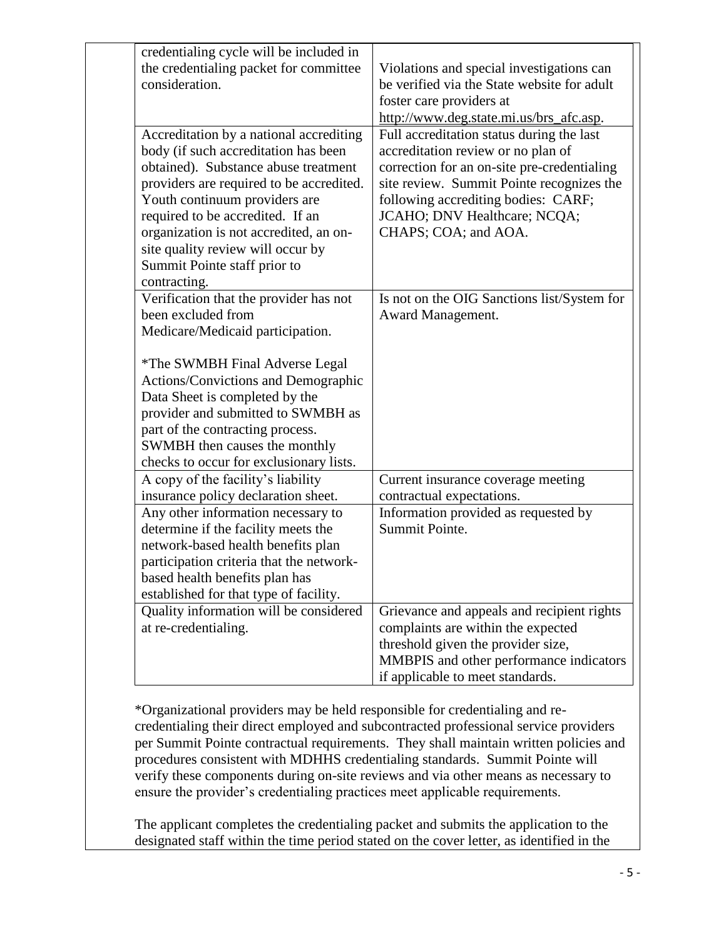| credentialing cycle will be included in                                          |                                                                                 |
|----------------------------------------------------------------------------------|---------------------------------------------------------------------------------|
| the credentialing packet for committee                                           | Violations and special investigations can                                       |
| consideration.                                                                   | be verified via the State website for adult                                     |
|                                                                                  | foster care providers at                                                        |
|                                                                                  | http://www.deg.state.mi.us/brs_afc.asp.                                         |
| Accreditation by a national accrediting<br>body (if such accreditation has been  | Full accreditation status during the last<br>accreditation review or no plan of |
| obtained). Substance abuse treatment                                             | correction for an on-site pre-credentialing                                     |
| providers are required to be accredited.                                         | site review. Summit Pointe recognizes the                                       |
| Youth continuum providers are                                                    | following accrediting bodies: CARF;                                             |
| required to be accredited. If an                                                 | JCAHO; DNV Healthcare; NCQA;                                                    |
| organization is not accredited, an on-                                           | CHAPS; COA; and AOA.                                                            |
| site quality review will occur by                                                |                                                                                 |
| Summit Pointe staff prior to                                                     |                                                                                 |
| contracting.                                                                     |                                                                                 |
| Verification that the provider has not<br>been excluded from                     | Is not on the OIG Sanctions list/System for<br>Award Management.                |
| Medicare/Medicaid participation.                                                 |                                                                                 |
|                                                                                  |                                                                                 |
| <i>*The SWMBH Final Adverse Legal</i>                                            |                                                                                 |
| Actions/Convictions and Demographic                                              |                                                                                 |
| Data Sheet is completed by the                                                   |                                                                                 |
| provider and submitted to SWMBH as                                               |                                                                                 |
| part of the contracting process.<br>SWMBH then causes the monthly                |                                                                                 |
| checks to occur for exclusionary lists.                                          |                                                                                 |
| A copy of the facility's liability                                               | Current insurance coverage meeting                                              |
| insurance policy declaration sheet.                                              | contractual expectations.                                                       |
| Any other information necessary to                                               | Information provided as requested by                                            |
| determine if the facility meets the                                              | Summit Pointe.                                                                  |
| network-based health benefits plan                                               |                                                                                 |
| participation criteria that the network-                                         |                                                                                 |
| based health benefits plan has                                                   |                                                                                 |
| established for that type of facility.<br>Quality information will be considered | Grievance and appeals and recipient rights                                      |
| at re-credentialing.                                                             | complaints are within the expected                                              |
|                                                                                  | threshold given the provider size,                                              |
|                                                                                  | MMBPIS and other performance indicators                                         |
|                                                                                  | if applicable to meet standards.                                                |

\*Organizational providers may be held responsible for credentialing and recredentialing their direct employed and subcontracted professional service providers per Summit Pointe contractual requirements. They shall maintain written policies and procedures consistent with MDHHS credentialing standards. Summit Pointe will verify these components during on-site reviews and via other means as necessary to ensure the provider's credentialing practices meet applicable requirements.

The applicant completes the credentialing packet and submits the application to the designated staff within the time period stated on the cover letter, as identified in the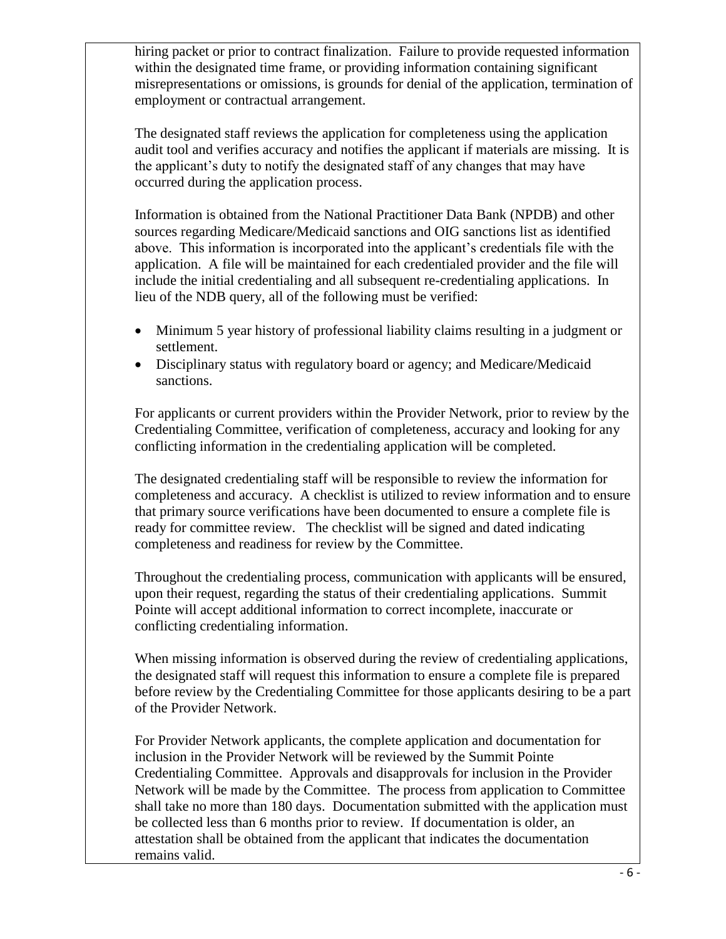hiring packet or prior to contract finalization. Failure to provide requested information within the designated time frame, or providing information containing significant misrepresentations or omissions, is grounds for denial of the application, termination of employment or contractual arrangement.

The designated staff reviews the application for completeness using the application audit tool and verifies accuracy and notifies the applicant if materials are missing. It is the applicant's duty to notify the designated staff of any changes that may have occurred during the application process.

Information is obtained from the National Practitioner Data Bank (NPDB) and other sources regarding Medicare/Medicaid sanctions and OIG sanctions list as identified above. This information is incorporated into the applicant's credentials file with the application. A file will be maintained for each credentialed provider and the file will include the initial credentialing and all subsequent re-credentialing applications. In lieu of the NDB query, all of the following must be verified:

- Minimum 5 year history of professional liability claims resulting in a judgment or settlement.
- Disciplinary status with regulatory board or agency; and Medicare/Medicaid sanctions.

For applicants or current providers within the Provider Network, prior to review by the Credentialing Committee, verification of completeness, accuracy and looking for any conflicting information in the credentialing application will be completed.

The designated credentialing staff will be responsible to review the information for completeness and accuracy. A checklist is utilized to review information and to ensure that primary source verifications have been documented to ensure a complete file is ready for committee review. The checklist will be signed and dated indicating completeness and readiness for review by the Committee.

Throughout the credentialing process, communication with applicants will be ensured, upon their request, regarding the status of their credentialing applications. Summit Pointe will accept additional information to correct incomplete, inaccurate or conflicting credentialing information.

When missing information is observed during the review of credentialing applications, the designated staff will request this information to ensure a complete file is prepared before review by the Credentialing Committee for those applicants desiring to be a part of the Provider Network.

For Provider Network applicants, the complete application and documentation for inclusion in the Provider Network will be reviewed by the Summit Pointe Credentialing Committee. Approvals and disapprovals for inclusion in the Provider Network will be made by the Committee. The process from application to Committee shall take no more than 180 days. Documentation submitted with the application must be collected less than 6 months prior to review. If documentation is older, an attestation shall be obtained from the applicant that indicates the documentation remains valid.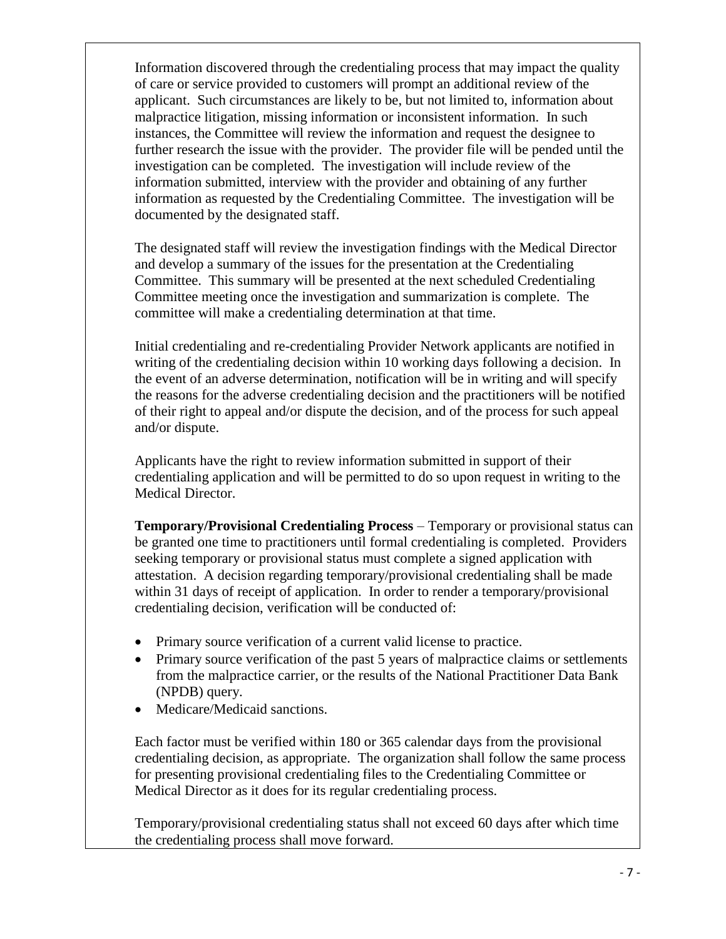Information discovered through the credentialing process that may impact the quality of care or service provided to customers will prompt an additional review of the applicant. Such circumstances are likely to be, but not limited to, information about malpractice litigation, missing information or inconsistent information. In such instances, the Committee will review the information and request the designee to further research the issue with the provider. The provider file will be pended until the investigation can be completed. The investigation will include review of the information submitted, interview with the provider and obtaining of any further information as requested by the Credentialing Committee. The investigation will be documented by the designated staff.

The designated staff will review the investigation findings with the Medical Director and develop a summary of the issues for the presentation at the Credentialing Committee. This summary will be presented at the next scheduled Credentialing Committee meeting once the investigation and summarization is complete. The committee will make a credentialing determination at that time.

Initial credentialing and re-credentialing Provider Network applicants are notified in writing of the credentialing decision within 10 working days following a decision. In the event of an adverse determination, notification will be in writing and will specify the reasons for the adverse credentialing decision and the practitioners will be notified of their right to appeal and/or dispute the decision, and of the process for such appeal and/or dispute.

Applicants have the right to review information submitted in support of their credentialing application and will be permitted to do so upon request in writing to the Medical Director.

**Temporary/Provisional Credentialing Process** – Temporary or provisional status can be granted one time to practitioners until formal credentialing is completed. Providers seeking temporary or provisional status must complete a signed application with attestation. A decision regarding temporary/provisional credentialing shall be made within 31 days of receipt of application. In order to render a temporary/provisional credentialing decision, verification will be conducted of:

- Primary source verification of a current valid license to practice.
- Primary source verification of the past 5 years of malpractice claims or settlements from the malpractice carrier, or the results of the National Practitioner Data Bank (NPDB) query.
- Medicare/Medicaid sanctions.

Each factor must be verified within 180 or 365 calendar days from the provisional credentialing decision, as appropriate. The organization shall follow the same process for presenting provisional credentialing files to the Credentialing Committee or Medical Director as it does for its regular credentialing process.

Temporary/provisional credentialing status shall not exceed 60 days after which time the credentialing process shall move forward.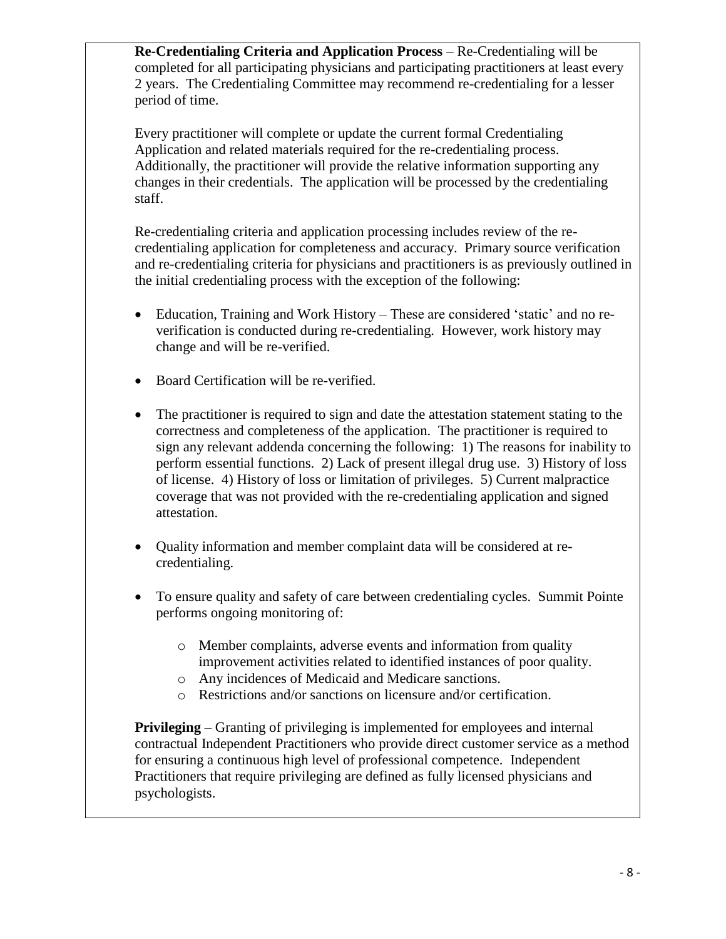**Re-Credentialing Criteria and Application Process** – Re-Credentialing will be completed for all participating physicians and participating practitioners at least every 2 years. The Credentialing Committee may recommend re-credentialing for a lesser period of time.

Every practitioner will complete or update the current formal Credentialing Application and related materials required for the re-credentialing process. Additionally, the practitioner will provide the relative information supporting any changes in their credentials. The application will be processed by the credentialing staff.

Re-credentialing criteria and application processing includes review of the recredentialing application for completeness and accuracy. Primary source verification and re-credentialing criteria for physicians and practitioners is as previously outlined in the initial credentialing process with the exception of the following:

- Education, Training and Work History These are considered 'static' and no reverification is conducted during re-credentialing. However, work history may change and will be re-verified.
- Board Certification will be re-verified.
- The practitioner is required to sign and date the attestation statement stating to the correctness and completeness of the application. The practitioner is required to sign any relevant addenda concerning the following: 1) The reasons for inability to perform essential functions. 2) Lack of present illegal drug use. 3) History of loss of license. 4) History of loss or limitation of privileges. 5) Current malpractice coverage that was not provided with the re-credentialing application and signed attestation.
- Quality information and member complaint data will be considered at recredentialing.
- To ensure quality and safety of care between credentialing cycles. Summit Pointe performs ongoing monitoring of:
	- o Member complaints, adverse events and information from quality improvement activities related to identified instances of poor quality.
	- o Any incidences of Medicaid and Medicare sanctions.
	- o Restrictions and/or sanctions on licensure and/or certification.

**Privileging** – Granting of privileging is implemented for employees and internal contractual Independent Practitioners who provide direct customer service as a method for ensuring a continuous high level of professional competence. Independent Practitioners that require privileging are defined as fully licensed physicians and psychologists.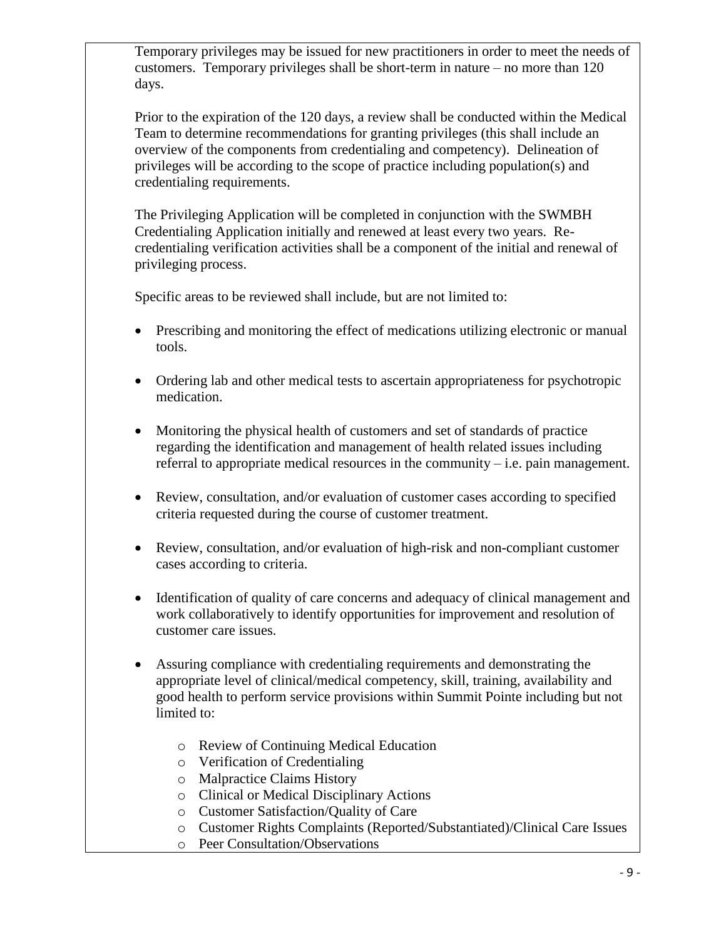Temporary privileges may be issued for new practitioners in order to meet the needs of customers. Temporary privileges shall be short-term in nature – no more than 120 days.

Prior to the expiration of the 120 days, a review shall be conducted within the Medical Team to determine recommendations for granting privileges (this shall include an overview of the components from credentialing and competency). Delineation of privileges will be according to the scope of practice including population(s) and credentialing requirements.

The Privileging Application will be completed in conjunction with the SWMBH Credentialing Application initially and renewed at least every two years. Recredentialing verification activities shall be a component of the initial and renewal of privileging process.

Specific areas to be reviewed shall include, but are not limited to:

- Prescribing and monitoring the effect of medications utilizing electronic or manual tools.
- Ordering lab and other medical tests to ascertain appropriateness for psychotropic medication.
- Monitoring the physical health of customers and set of standards of practice regarding the identification and management of health related issues including referral to appropriate medical resources in the community – i.e. pain management.
- Review, consultation, and/or evaluation of customer cases according to specified criteria requested during the course of customer treatment.
- Review, consultation, and/or evaluation of high-risk and non-compliant customer cases according to criteria.
- Identification of quality of care concerns and adequacy of clinical management and work collaboratively to identify opportunities for improvement and resolution of customer care issues.
- Assuring compliance with credentialing requirements and demonstrating the appropriate level of clinical/medical competency, skill, training, availability and good health to perform service provisions within Summit Pointe including but not limited to:
	- o Review of Continuing Medical Education
	- o Verification of Credentialing
	- o Malpractice Claims History
	- o Clinical or Medical Disciplinary Actions
	- o Customer Satisfaction/Quality of Care
	- o Customer Rights Complaints (Reported/Substantiated)/Clinical Care Issues
	- o Peer Consultation/Observations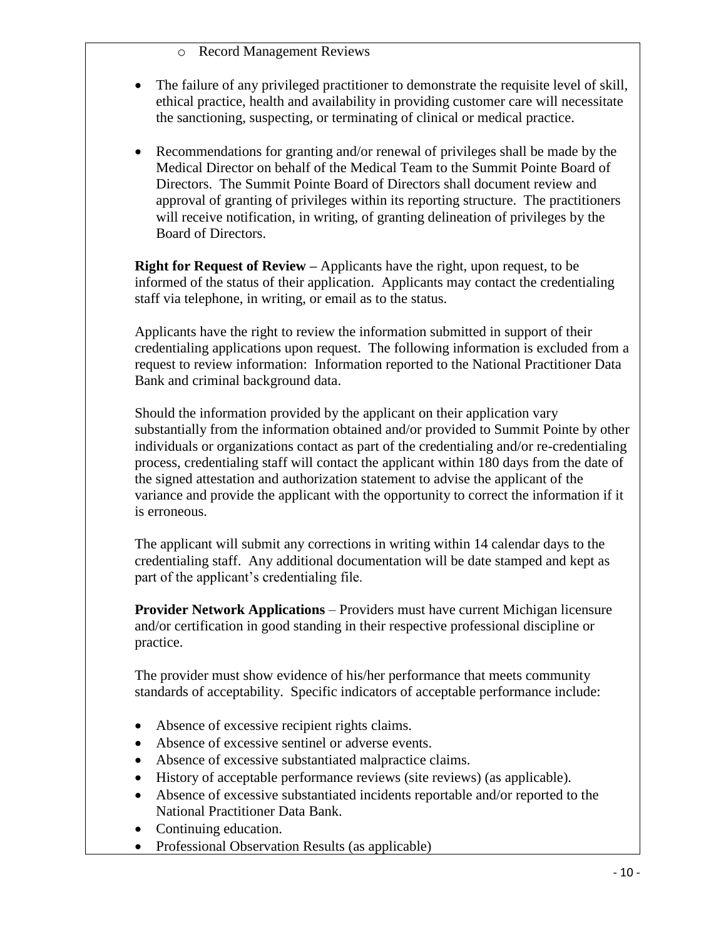- o Record Management Reviews
- The failure of any privileged practitioner to demonstrate the requisite level of skill, ethical practice, health and availability in providing customer care will necessitate the sanctioning, suspecting, or terminating of clinical or medical practice.
- Recommendations for granting and/or renewal of privileges shall be made by the Medical Director on behalf of the Medical Team to the Summit Pointe Board of Directors. The Summit Pointe Board of Directors shall document review and approval of granting of privileges within its reporting structure. The practitioners will receive notification, in writing, of granting delineation of privileges by the Board of Directors.

**Right for Request of Review –** Applicants have the right, upon request, to be informed of the status of their application. Applicants may contact the credentialing staff via telephone, in writing, or email as to the status.

Applicants have the right to review the information submitted in support of their credentialing applications upon request. The following information is excluded from a request to review information: Information reported to the National Practitioner Data Bank and criminal background data.

Should the information provided by the applicant on their application vary substantially from the information obtained and/or provided to Summit Pointe by other individuals or organizations contact as part of the credentialing and/or re-credentialing process, credentialing staff will contact the applicant within 180 days from the date of the signed attestation and authorization statement to advise the applicant of the variance and provide the applicant with the opportunity to correct the information if it is erroneous.

The applicant will submit any corrections in writing within 14 calendar days to the credentialing staff. Any additional documentation will be date stamped and kept as part of the applicant's credentialing file.

**Provider Network Applications** – Providers must have current Michigan licensure and/or certification in good standing in their respective professional discipline or practice.

The provider must show evidence of his/her performance that meets community standards of acceptability. Specific indicators of acceptable performance include:

- Absence of excessive recipient rights claims.
- Absence of excessive sentinel or adverse events.
- Absence of excessive substantiated malpractice claims.
- History of acceptable performance reviews (site reviews) (as applicable).
- Absence of excessive substantiated incidents reportable and/or reported to the National Practitioner Data Bank.
- Continuing education.
- Professional Observation Results (as applicable)